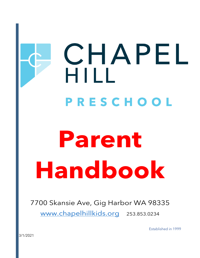## CHAPEL HILL PRESCHOOL

# **Parent Handbook**

## 7700 Skansie Ave, Gig Harbor WA 98335

[www.chapelhillkids.org](http://www.chapelhillkids.org/) 253.853.0234

Established in 1999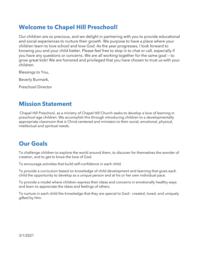## **Welcome to Chapel Hill Preschool!**

Our children are so precious, and we delight in partnering with you to provide educational and social experiences to nurture their growth. We purpose to have a place where your children learn to love school and love God. As the year progresses, I look forward to knowing you and your child better. Please feel free to stop in to chat or call, especially if you have any questions or concerns. We are all working together for the same goal — to grow great kids! We are honored and privileged that you have chosen to trust us with your children.

Blessings to You,

Beverly Burmark,

Preschool Director

## **Mission Statement**

Chapel Hill Preschool, as a ministry of Chapel Hill Church seeks to develop a love of learning in preschool age children. We accomplish this through introducing children to a developmentally appropriate classroom that is Christ-centered and ministers to their social, emotional, physical, intellectual and spiritual needs.

## **Our Goals**

To challenge children to explore the world around them, to discover for themselves the wonder of creation, and to get to know the love of God.

To encourage activities that build self-confidence in each child.

To provide a curriculum based on knowledge of child development and learning that gives each child the opportunity to develop as a unique person and at his or her own individual pace.

To provide a model where children express their ideas and concerns in emotionally healthy ways and learn to appreciate the ideas and feelings of others.

To nurture in each child the knowledge that they are special to God-- created, loved, and uniquely gifted by Him.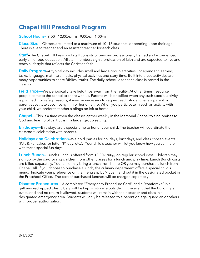## **Chapel Hill Preschool Program**

**School Hours-** 9:00 - 12:00AM or 9:00AM - 1:00PM

**Class Size—**Classes are limited to a maximum of 10- 16 students, depending upon their age. There is a lead teacher and an assistant teacher for each class.

**Staff—**The Chapel Hill Preschool staff consists of persons professionally trained and experienced in early childhood education. All staff members sign a profession of faith and are expected to live and teach a lifestyle that reflects the Christian faith.

**Daily Program**—A typical day includes small and large group activities, independent learning tasks, language, math, art, music, physical activities and story time. Built into these activities are many opportunities to share Biblical truths. The daily schedule for each class is posted in the classroom.

**Field Trips—**We periodically take field trips away from the facility. At other times, resource people come to the school to share with us. Parents will be notified when any such special activity is planned. For safety reasons, it may be necessary to request each student have a parent or parent-substitute accompany him or her on a trip. When you participate in such an activity with your child, we prefer that other siblings be left at home.

**Chapel—**This is a time when the classes gather weekly in the Memorial Chapel to sing praises to God and learn biblical truths in a larger group setting.

**Birthdays—**Birthdays are a special time to honor your child. The teacher will coordinate the classroom celebration with parents.

**Holidays and Celebrations—**We hold parties for holidays, birthdays, and class chosen events (PJ's & Pancakes for letter "P" day, etc.). Your child's teacher will let you know how you can help with these special fun days.

**Lunch Bunch--** Lunch Bunch is offered from 12:00-1:00<sub>PM</sub> on regular school days. Children may sign up by the day, joining children from other classes for a lunch and play time. Lunch Bunch costs are billed separately. Your child may bring a lunch from home OR you may purchase a lunch from Chapel Hill. If you choose to purchase a lunch, the culinary department offers a special child's menu. Indicate your preference on the menu slip by 9:30am and put it in the designated pocket in the Preschool Office. The cost of purchased lunches will be charged separately.

**Disaster Procedures –** A completed "Emergency Procedure Card" and a "comfort kit" in a gallon-sized zipped plastic bag, will be kept in storage outside. In the event that the building is evacuated and no return is allowed, students will remain with their teacher and class in a designated emergency area. Students will only be released to a parent or legal guardian or others with proper authorization.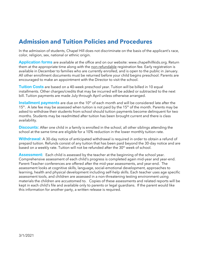## **Admission and Tuition Policies and Procedures**

In the admission of students, Chapel Hill does not discriminate on the basis of the applicant's race, color, religion, sex, national or ethnic origin.

**Application forms** are available at the office and on our website: www.chapelhillkids.org. Return them at the appropriate time along with the non-refundable registration fee. Early registration is available in December to families who are currently enrolled, and is open to the public in January. All other enrollment documents must be returned before your child begins preschool. Parents are encouraged to make an appointment with the Director to visit the school.

**Tuition Costs** are based on a 40-week preschool year. Tuition will be billed in 10 equal installments. Other charges/credits that may be incurred will be added or subtracted to the next bill. Tuition payments are made July through April unless otherwise arranged.

**Installment payments** are due on the 10<sup>th</sup> of each month and will be considered late after the  $15<sup>th</sup>$ . A late fee may be assessed when tuition is not paid by the  $15<sup>th</sup>$  of the month. Parents may be asked to withdraw their students from school should tuition payments become delinquent for two months. Students may be readmitted after tuition has been brought current and there is class availability.

**Discounts:** After one child in a family is enrolled in the school, all other siblings attending the school at the same time are eligible for a 10% reduction in the lower monthly tuition rate.

**Withdrawal:** A 30-day notice of anticipated withdrawal is required in order to obtain a refund of prepaid tuition. Refunds consist of any tuition that has been paid beyond the 30-day notice and are based on a weekly rate. Tuition will not be refunded after the 30<sup>th</sup> week of school.

**Assessment:** Each child is assessed by the teacher at the beginning of the school year. Comprehensive assessment of each child's progress is completed again mid-year and year-end. Parent-Teacher conferences are offered after the mid-year assessments, and year-end. The assessment looks at cognitive skills, language, social-emotional development, approaches to learning, health and physical development including self-help skills. Each teacher uses age specific assessment tools, and children are assessed in a non-threatening testing environment using materials the children are accustomed to. Copies of these assessments and related reports will be kept in each child's file and available only to parents or legal guardians. If the parent would like this information for another party, a written release is required.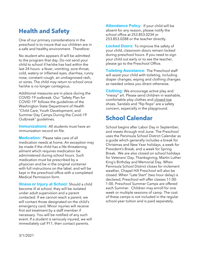## **Health and Safety**

One of our primary considerations in the preschool is to insure that our children are in a safe and healthy environment. Therefore:

No student who appears ill will be admitted to the program that day. Do not send your child to school if he/she has had within the last 24 hours: a fever, vomiting, sore throat, cold, watery or inflamed eyes, diarrhea, runny nose, constant cough, an undiagnosed rash, or sores. The child may return to school once he/she is no longer contagious.

Additional measures are in place during the COVID-19 outbreak. Our "Safety Plan for COVID-19" follows the guidelines of the Washington State Department of Health "Child Care, Youth Development, and Summer Day Camps During the Covid-19 Outbreak" guidelines.

**Immunizations:** All students must have an immunization record on file.

**Medication:** Please take care of all medication needs at home. An exception may be made if the child has a life-threatening ailment which requires medication be administered during school hours. Such medication must be prescribed by a physician and be in the original container with full instructions on the label, and will be kept in the preschool office with a completed Medical Permission form.

**Illness or Injury at School:** Should a child become ill at school, they will be isolated under adult supervision and a parent contacted. If we cannot reach a parent, we will contact those designated on the child's emergency card. Minor injuries will receive first aid treatment by a staff member if necessary. You will be notified of any such event. If a student is seriously injured, we will immediately call 911, then contact parents.

**Attendance Policy:** If your child will be absent for any reason, please notify the school office at 253.853.0234 or 253.853.0288 or the teacher directly.

**Locked Doors:** To improve the safety of your child, classroom doors remain locked during preschool hours. If you need to sign your child out early or to see the teacher, please go to the Preschool Office.

**Toileting Assistance:** The Preschool staff will assist your child with toileting, including diaper changes, wiping and clothing changes as needed unless you direct otherwise.

**Clothing:** We encourage active play and "messy" art. Please send children in washable, comfortable play clothes and closed-toe shoes. Sandals and "flip flops" are a safety concern, especially in the playground.

## **School Calendar**

School begins after Labor Day in September, and meets through mid-June. The Preschool uses the Peninsula School District Calendar as a guide which generally includes a break for Christmas and New Year holidays, a week for President's Break, and a week for Spring Break. We are also closed on school holidays for Veterans' Day, Thanksgiving, Martin Luther King's Birthday and Memorial Day. When Peninsula School District closes for inclement weather, Chapel Hill Preschool will also be closed. When "Late Start" (two hour delay) is declared, Preschool will offer classes 11:00- 1:00. Preschool Summer Camps are offered each Summer. Children may enroll for one week or multiple sessions of camp. The cost of these camps is not included in the regular school-year tuition and is paid separately.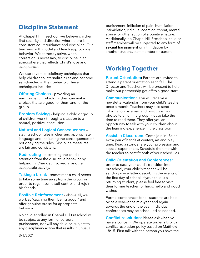## **Discipline Statement**

At Chapel Hill Preschool, we believe children find security and direction where there is consistent adult guidance and discipline. Our teachers both model and teach appropriate behavior. We earnestly strive, when correction is necessary, to discipline in an atmosphere that reflects Christ's love and acceptance.

We use several disciplinary techniques that help children to internalize rules and become self-directed in their behavior. These techniques include:

**Offering Choices** – providing an environment in which children can make choices that are good for them and for the group.

**Problem Solving** – helping a child or group of children work through a situation to a natural, positive, conclusion.

#### **Natural and Logical Consequences** –

stating school rules in clear and appropriate language and indicating the consequences of not obeying the rules. Discipline measures are fair and consistent.

**Redirecting** – distracting the child's attention from the disruptive behavior by helping him/her get involved in another acceptable activity.

**Taking a break** – sometimes a child needs to take some time away from the group in order to regain some self-control and rejoin his friends.

**Positive Reinforcement** – above all, we work at "catching them being good," and offer genuine praise for appropriate behavior.

No child enrolled in Chapel Hill Preschool will be subject to any form of corporal punishment, nor will any child be subject to any disciplinary action that results in unusual

punishment, infliction of pain, humiliation, intimidation, ridicule, coercion, threat, mental abuse, or other action of a punitive nature. Additionally, no Chapel Hill Preschool child or staff member will be subjected to any form of **sexual harassment** or intimidation by another student, staff member or parent.

## **Working Together**

**Parent Orientation:** Parents are invited to attend a parent orientation each fall. The Director and Teachers will be present to help make our partnership get off to a good start.

**Communication:** You will receive a newsletter/calendar from your child's teacher once a month. Teachers may also send information by email and post classroom photos to an online group. Please take the time to read them. They offer you an opportunity to talk with your children about the learning experience in the classroom.

**Assist in Classroom:** Come join in! Be an extra pair of hands at centers, art and play time. Read a story, share your profession and special experiences. Schedule the time with the teacher to best fit both of your schedules.

**Child Orientation and Conferences:** In

order to ease your child's transition into preschool, your child's teacher will be sending you a letter describing the events of the first day of school. If your child is a returning student, please feel free to visit their former teacher for hugs, hello and good wishes.

Formal conferences for all students are held twice a year—once mid-year and again towards the end of the year. Individual conferences may be scheduled as needed.

**Conflict resolution:** Please ask when you have a concern. We operate under a Biblical conflict resolution policy based on Matthew 18:15. First talk with the person you have the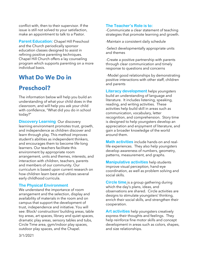conflict with, then to their supervisor. If the issue is still not solved to your satisfaction, make an appointment to talk to a Pastor.

**Parent Education:** Chapel Hill Preschool and the Church periodically sponsor education classes designed to assist in refining positive parenting techniques. Chapel Hill Church offers a lay counseling program which supports parenting on a more individual basis.

## **What Do We Do in**

## **Preschool?**

The information below will help you build an understanding of what your child does in the classroom, and will help you ask your child with confidence, "What did you do in school today?"

**Discovery Learning** Our discovery learning environment promotes trust, growth, and independence as children discover and learn through play. This method improves student's abilities as independent thinkers, and encourages them to become life-long learners. Our teachers facilitate this environment by appropriate room arrangement, units and themes, interests, and interaction with children, teachers, parents and members of our community. Our curriculum is based upon current research on how children learn best and utilizes several early childhood curricula.

#### **The Physical Environment**

We understand the importance of room arrangement and the selection, display and availability of materials in the room and on campus that support the development of trust, independence and initiative. You will see: Block/ construction/ building areas, table toy areas, art spaces, library and quiet spaces, dramatic play areas, sensory tables and tubs, Circle Time area, gym/indoor play spaces, outdoor play spaces, and the Chapel.

#### **The Teacher's Role is to:**

-Communicate a clear statement of teaching strategies that promote learning and growth.

-Maintain a consistent daily schedule

-Select developmentally appropriate units and themes

-Create a positive partnership with parents through clear communication and timely response to questions and concerns

-Model good relationships by demonstrating positive interactions with other staff, children and parents

**Literacy development** helps youngsters build an understanding of language and literature. It includes listening, speaking, reading, and writing activities. These activities help build skill in areas such as communication, vocabulary, letter recognition, and comprehension. Story time is designed to help youngsters develop an appreciation and enjoyment of literature, and gain a broader knowledge of the world around them.

**Math activities** include hands-on and reallife experiences. They also help youngsters develop awareness of numbers, geometry, patterns, measurement, and graphs.

**Manipulative activities** help students improve visual perception, hand-eye coordination, as well as problem solving and social skills.

**Circle time** is a group gathering during which the day's plans, ideas, and observations are shared. Circle activities are designs to stimulate youngsters' thinking, enrich their social skills, and strengthen their cooperation.

**Art activities** help youngsters creatively express their thoughts and feelings. They help reinforce fine motor skills and concept development in areas such as colors, shapes, and size relationships.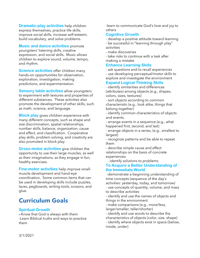**Dramatic-play activities** help children express themselves, practice life skills, improve social skills, increase self-esteem, build vocabulary, and solve problems.

**Music and dance activities** promote youngsters' listening skills, creative expression, and social skills. Music allows children to explore sound, volume, tempo, and rhythm.

**Science activities** offer children many hands-on opportunities for observation, exploration, investigation, making predictions, and experimentation.

**Sensory table activities** allow youngsters to experiment with textures and properties of different substances. These activities also promote the development of other skills, such as math, science, and language.

**Block play** gives children experience with many different concepts, such as shape and size discrimination, spatial relationships, number skills, balance, organization, cause and effect, and classification. Cooperative play skills, problem solving, and creativity are also promoted in block play.

**Gross-motor activities** give children the opportunity to use their large muscles, as well as their imaginations, as they engage in fun, healthy exercises.

**Fine-motor activities** help improve smallmuscle development and hand-eye coordination, Some common items that can be used in developing skills include puzzles, laces, pegboards, writing tools, scissors, and glue.

## **Curriculum Goals**

#### **Spiritual Growth**

**-**-Know that God is always with them -Learn Biblical truths and ways to practice them

-learn to communicate God's love and joy to others

#### **Cognitive Growth**

- develop a positive attitude toward learning - be successful in "learning through play" activities

- make discoveries

- take risks to continue with a task after making a mistake

#### **Enhance Learning Skills**

- ask questions and to recall experiences

- use developing perceptual/motor skills to explore and investigate the environment

#### **Expand Logical Thinking Skills**

- identify similarities and differences (attributes) among objects (e.g., shapes, colors, sizes, textures)

- sort objects according to common characteristic (e.g., look alike, things that belong together)

- identify common characteristics of objects and events.

- arrange events in a sequence (e.g., what happened first, second, and last)

- arrange objects in a series, (e.g., smallest to largest)

- recognize patterns and be able to repeat them

- describe simple cause and effect relationships on the basis of concrete experiences

- identify solutions to problems

#### **To Acquire a Better Understanding of the Immediate World**

-demonstrate a beginning understanding of time concepts (sequence of the day's activities: yesterday, today, and tomorrow) - use concepts of quantity, volume, and mass to describe activities

- identify and use the names of objects and things in the environment

- make comparisons (e.g., more/less, larger/smaller, taller/shorter)

- identify and use words to describe the

characteristics of objects (color, size, shape)

- identify where objects exist in space (below, inside, under)